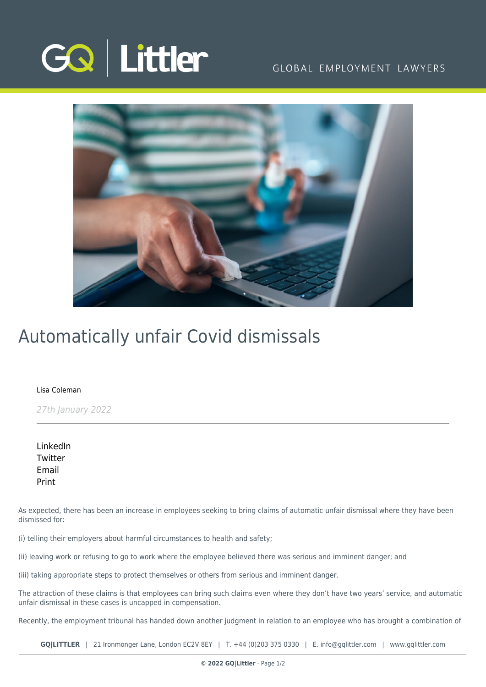

### GLOBAL EMPLOYMENT LAWYERS



## Automatically unfair Covid dismissals

### [Lisa Coleman](https://www.gqlittler.com/about-us/the-team/lisa-coleman)

27th January 2022

[LinkedIn](https://www.linkedin.com/shareArticle?mini=true&url=https%3A%2F%2Fwww.gqlittler.com%2Fresources%2Fnews-and-views%2Fautomatically-unfair-covid-dismissals.htm%3Funlock%3Dtrue&title=Automatically+unfair+Covid+dismissals&summary=We+take+a+look+at+what+the+cases+to+date+can+tell+us+about+the+tribunal%E2%80%99s+approach+to+these+issues+generally.&source=GQ+%7C+Littler) **[Twitter](https://twitter.com/share?text=Automatically+unfair+Covid+dismissals&url=https%3A%2F%2Fwww.gqlittler.com%2Fresources%2Fnews-and-views%2Fautomatically-unfair-covid-dismissals.htm&hashtags=)** [Email](mailto:?subject=Automatically unfair Covid dismissals&body=I) [Print](https://www.bg-pdf.co.uk/_GQ/page.php?M=6148523063484d364c793933643363755a33467361585230624756794c6d4e76625339795a584e7664584a6a5a584d76626d563363793168626d5174646d6c6c64334d76595856306232316864476c6a5957787365533131626d5a686158497459323932615751745a476c7a62576c7a633246736379356f6447306a51434e42645852766257463061574e6862477835494856755a6d46706369424462335a705a43426b61584e7461584e7a5957787a4930416a595856306232316864476c6a5957787365533131626d5a686158497459323932615751745a476c7a62576c7a6332467363773d3d)

As expected, there has been an increase in employees seeking to bring claims of automatic unfair dismissal where they have been dismissed for:

(i) telling their employers about harmful circumstances to health and safety;

(ii) leaving work or refusing to go to work where the employee believed there was serious and imminent danger; and

(iii) taking appropriate steps to protect themselves or others from serious and imminent danger.

The attraction of these claims is that employees can bring such claims even where they don't have two years' service, and automatic unfair dismissal in these cases is uncapped in compensation.

Recently, the employment tribunal has handed down another judgment in relation to an employee who has brought a combination of

**GQ|LITTLER** | 21 Ironmonger Lane, London EC2V 8EY | T. [+44 \(0\)203 375 0330](https://www.bg-pdf.co.uk/_GQ/tel:+442033750330) | E. [info@gqlittler.com](mailto:info@gqlittler.com) | [www.gqlittler.com](https://www.gqlittler.com)